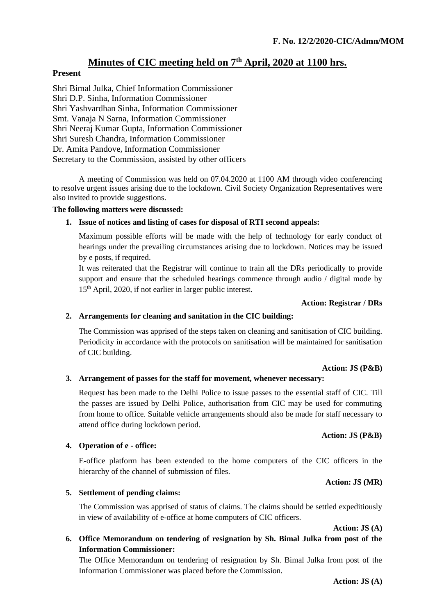# **Minutes of CIC meeting held on 7th April, 2020 at 1100 hrs.**

# **Present**

Shri Bimal Julka, Chief Information Commissioner Shri D.P. Sinha, Information Commissioner Shri Yashvardhan Sinha, Information Commissioner Smt. Vanaja N Sarna, Information Commissioner Shri Neeraj Kumar Gupta, Information Commissioner Shri Suresh Chandra, Information Commissioner Dr. Amita Pandove, Information Commissioner Secretary to the Commission, assisted by other officers

A meeting of Commission was held on 07.04.2020 at 1100 AM through video conferencing to resolve urgent issues arising due to the lockdown. Civil Society Organization Representatives were also invited to provide suggestions.

### **The following matters were discussed:**

# **1. Issue of notices and listing of cases for disposal of RTI second appeals:**

Maximum possible efforts will be made with the help of technology for early conduct of hearings under the prevailing circumstances arising due to lockdown. Notices may be issued by e posts, if required.

It was reiterated that the Registrar will continue to train all the DRs periodically to provide support and ensure that the scheduled hearings commence through audio / digital mode by 15th April, 2020, if not earlier in larger public interest.

### **Action: Registrar / DRs**

# **2. Arrangements for cleaning and sanitation in the CIC building:**

The Commission was apprised of the steps taken on cleaning and sanitisation of CIC building. Periodicity in accordance with the protocols on sanitisation will be maintained for sanitisation of CIC building.

### **Action: JS (P&B)**

# **3. Arrangement of passes for the staff for movement, whenever necessary:**

Request has been made to the Delhi Police to issue passes to the essential staff of CIC. Till the passes are issued by Delhi Police, authorisation from CIC may be used for commuting from home to office. Suitable vehicle arrangements should also be made for staff necessary to attend office during lockdown period.

# **4. Operation of e - office:**

E-office platform has been extended to the home computers of the CIC officers in the hierarchy of the channel of submission of files.

**Action: JS (MR)**

**Action: JS (P&B)**

# **5. Settlement of pending claims:**

The Commission was apprised of status of claims. The claims should be settled expeditiously in view of availability of e-office at home computers of CIC officers.

**Action: JS (A)**

**6. Office Memorandum on tendering of resignation by Sh. Bimal Julka from post of the Information Commissioner:**

The Office Memorandum on tendering of resignation by Sh. Bimal Julka from post of the Information Commissioner was placed before the Commission.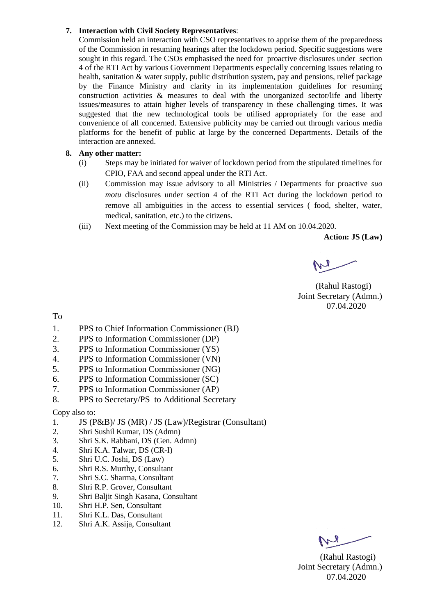#### **7. Interaction with Civil Society Representatives**:

Commission held an interaction with CSO representatives to apprise them of the preparedness of the Commission in resuming hearings after the lockdown period. Specific suggestions were sought in this regard. The CSOs emphasised the need for proactive disclosures under section 4 of the RTI Act by various Government Departments especially concerning issues relating to health, sanitation & water supply, public distribution system, pay and pensions, relief package by the Finance Ministry and clarity in its implementation guidelines for resuming construction activities & measures to deal with the unorganized sector/life and liberty issues/measures to attain higher levels of transparency in these challenging times. It was suggested that the new technological tools be utilised appropriately for the ease and convenience of all concerned. Extensive publicity may be carried out through various media platforms for the benefit of public at large by the concerned Departments. Details of the interaction are annexed.

#### **8. Any other matter:**

- (i) Steps may be initiated for waiver of lockdown period from the stipulated timelines for CPIO, FAA and second appeal under the RTI Act.
- (ii) Commission may issue advisory to all Ministries / Departments for proactive *suo motu* disclosures under section 4 of the RTI Act during the lockdown period to remove all ambiguities in the access to essential services ( food, shelter, water, medical, sanitation, etc.) to the citizens.
- (iii) Next meeting of the Commission may be held at 11 AM on 10.04.2020.

**Action: JS (Law)**

 (Rahul Rastogi) Joint Secretary (Admn.) 07.04.2020

To

- 1. PPS to Chief Information Commissioner (BJ)
- 2. PPS to Information Commissioner (DP)
- 3. PPS to Information Commissioner (YS)
- 4. PPS to Information Commissioner (VN)
- 5. PPS to Information Commissioner (NG)
- 6. PPS to Information Commissioner (SC)
- 7. PPS to Information Commissioner (AP)
- 8. PPS to Secretary/PS to Additional Secretary

Copy also to:

- 1. JS (P&B)/ JS (MR) / JS (Law)/Registrar (Consultant)
- 2. Shri Sushil Kumar, DS (Admn)
- 3. Shri S.K. Rabbani, DS (Gen. Admn)
- 4. Shri K.A. Talwar, DS (CR-I)
- 5. Shri U.C. Joshi, DS (Law)
- 6. Shri R.S. Murthy, Consultant
- 7. Shri S.C. Sharma, Consultant
- 8. Shri R.P. Grover, Consultant
- 9. Shri Baljit Singh Kasana, Consultant
- 10. Shri H.P. Sen, Consultant
- 11. Shri K.L. Das, Consultant
- 12. Shri A.K. Assija, Consultant

 (Rahul Rastogi) Joint Secretary (Admn.) 07.04.2020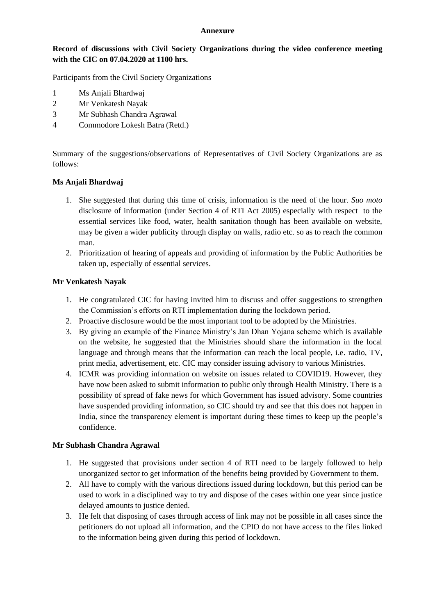#### **Annexure**

#### **Record of discussions with Civil Society Organizations during the video conference meeting with the CIC on 07.04.2020 at 1100 hrs.**

Participants from the Civil Society Organizations

- 1 Ms Anjali Bhardwaj
- 2 Mr Venkatesh Nayak
- 3 Mr Subhash Chandra Agrawal
- 4 Commodore Lokesh Batra (Retd.)

Summary of the suggestions/observations of Representatives of Civil Society Organizations are as follows:

#### **Ms Anjali Bhardwaj**

- 1. She suggested that during this time of crisis, information is the need of the hour. *Suo moto* disclosure of information (under Section 4 of RTI Act 2005) especially with respect to the essential services like food, water, health sanitation though has been available on website, may be given a wider publicity through display on walls, radio etc. so as to reach the common man.
- 2. Prioritization of hearing of appeals and providing of information by the Public Authorities be taken up, especially of essential services.

#### **Mr Venkatesh Nayak**

- 1. He congratulated CIC for having invited him to discuss and offer suggestions to strengthen the Commission's efforts on RTI implementation during the lockdown period.
- 2. Proactive disclosure would be the most important tool to be adopted by the Ministries.
- 3. By giving an example of the Finance Ministry's Jan Dhan Yojana scheme which is available on the website, he suggested that the Ministries should share the information in the local language and through means that the information can reach the local people, i.e. radio, TV, print media, advertisement, etc. CIC may consider issuing advisory to various Ministries.
- 4. ICMR was providing information on website on issues related to COVID19. However, they have now been asked to submit information to public only through Health Ministry. There is a possibility of spread of fake news for which Government has issued advisory. Some countries have suspended providing information, so CIC should try and see that this does not happen in India, since the transparency element is important during these times to keep up the people's confidence.

#### **Mr Subhash Chandra Agrawal**

- 1. He suggested that provisions under section 4 of RTI need to be largely followed to help unorganized sector to get information of the benefits being provided by Government to them.
- 2. All have to comply with the various directions issued during lockdown, but this period can be used to work in a disciplined way to try and dispose of the cases within one year since justice delayed amounts to justice denied.
- 3. He felt that disposing of cases through access of link may not be possible in all cases since the petitioners do not upload all information, and the CPIO do not have access to the files linked to the information being given during this period of lockdown.